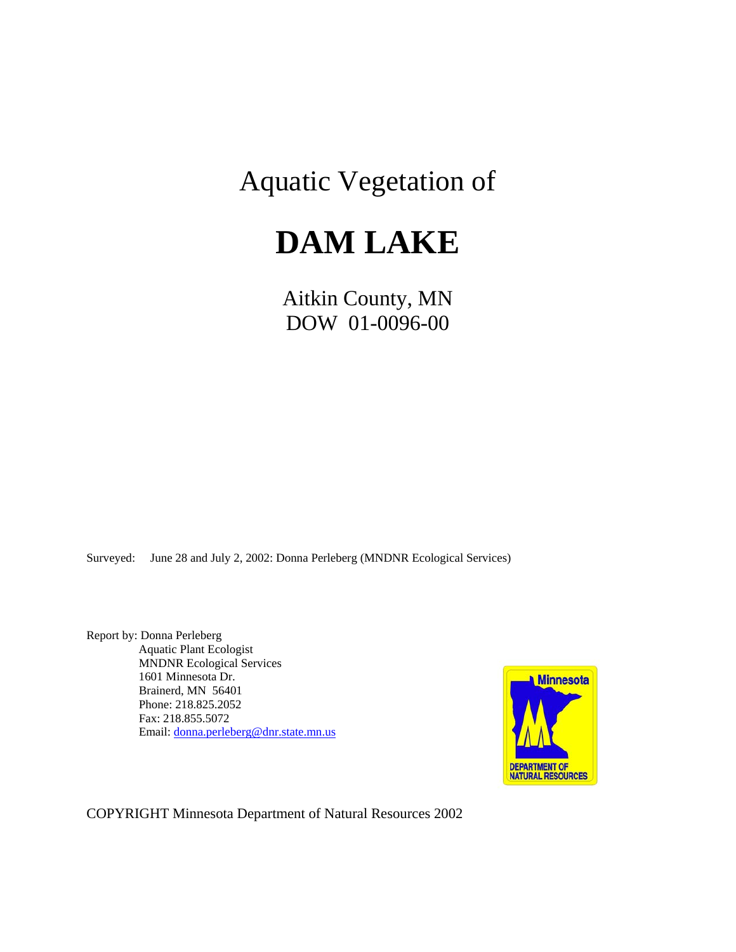# Aquatic Vegetation of

# **DAM LAKE**

Aitkin County, MN DOW 01-0096-00

Surveyed: June 28 and July 2, 2002: Donna Perleberg (MNDNR Ecological Services)

Report by: Donna Perleberg Aquatic Plant Ecologist MNDNR Ecological Services 1601 Minnesota Dr. Brainerd, MN 56401 Phone: 218.825.2052 Fax: 218.855.5072 Email: [donna.perleberg@dnr.state.mn.us](mailto:donna.perleberg@dnr.state.mn.us)



COPYRIGHT Minnesota Department of Natural Resources 2002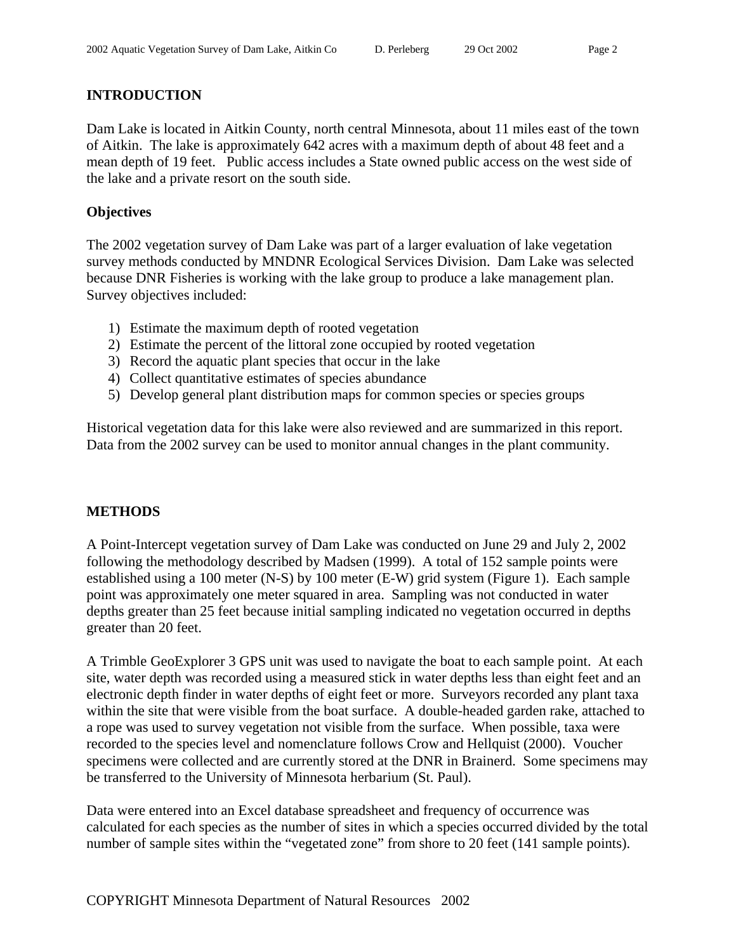# **INTRODUCTION**

Dam Lake is located in Aitkin County, north central Minnesota, about 11 miles east of the town of Aitkin. The lake is approximately 642 acres with a maximum depth of about 48 feet and a mean depth of 19 feet. Public access includes a State owned public access on the west side of the lake and a private resort on the south side.

# **Objectives**

The 2002 vegetation survey of Dam Lake was part of a larger evaluation of lake vegetation survey methods conducted by MNDNR Ecological Services Division. Dam Lake was selected because DNR Fisheries is working with the lake group to produce a lake management plan. Survey objectives included:

- 1) Estimate the maximum depth of rooted vegetation
- 2) Estimate the percent of the littoral zone occupied by rooted vegetation
- 3) Record the aquatic plant species that occur in the lake
- 4) Collect quantitative estimates of species abundance
- 5) Develop general plant distribution maps for common species or species groups

Historical vegetation data for this lake were also reviewed and are summarized in this report. Data from the 2002 survey can be used to monitor annual changes in the plant community.

# **METHODS**

A Point-Intercept vegetation survey of Dam Lake was conducted on June 29 and July 2, 2002 following the methodology described by Madsen (1999). A total of 152 sample points were established using a 100 meter (N-S) by 100 meter (E-W) grid system (Figure 1). Each sample point was approximately one meter squared in area. Sampling was not conducted in water depths greater than 25 feet because initial sampling indicated no vegetation occurred in depths greater than 20 feet.

A Trimble GeoExplorer 3 GPS unit was used to navigate the boat to each sample point. At each site, water depth was recorded using a measured stick in water depths less than eight feet and an electronic depth finder in water depths of eight feet or more. Surveyors recorded any plant taxa within the site that were visible from the boat surface. A double-headed garden rake, attached to a rope was used to survey vegetation not visible from the surface. When possible, taxa were recorded to the species level and nomenclature follows Crow and Hellquist (2000). Voucher specimens were collected and are currently stored at the DNR in Brainerd. Some specimens may be transferred to the University of Minnesota herbarium (St. Paul).

Data were entered into an Excel database spreadsheet and frequency of occurrence was calculated for each species as the number of sites in which a species occurred divided by the total number of sample sites within the "vegetated zone" from shore to 20 feet (141 sample points).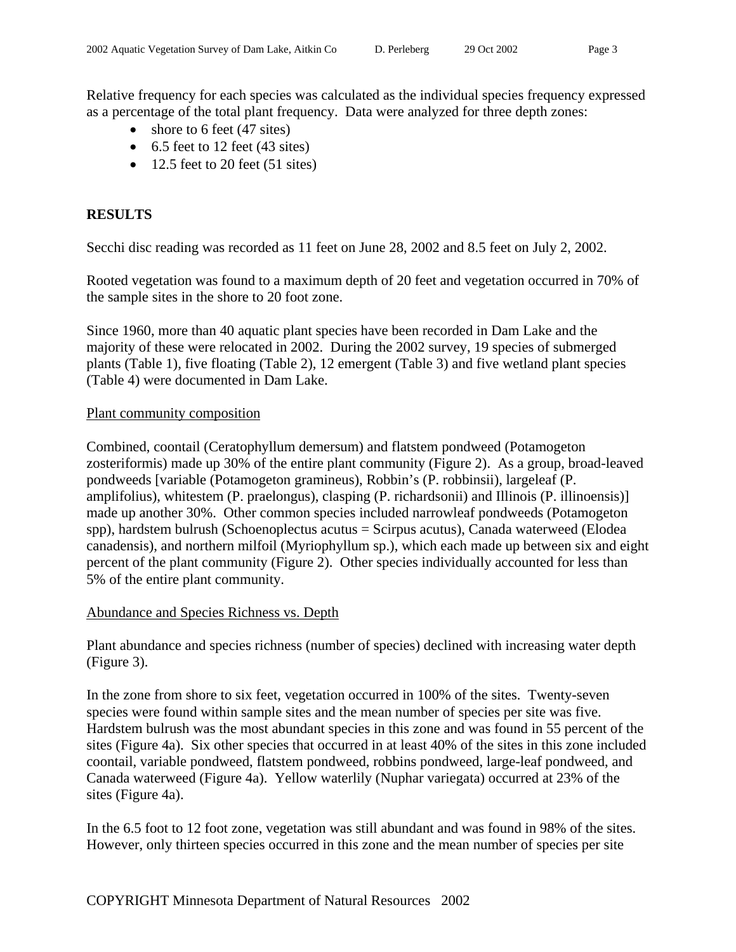Relative frequency for each species was calculated as the individual species frequency expressed as a percentage of the total plant frequency. Data were analyzed for three depth zones:

- shore to 6 feet (47 sites)
- $\bullet$  6.5 feet to 12 feet (43 sites)
- $\bullet$  12.5 feet to 20 feet (51 sites)

## **RESULTS**

Secchi disc reading was recorded as 11 feet on June 28, 2002 and 8.5 feet on July 2, 2002.

Rooted vegetation was found to a maximum depth of 20 feet and vegetation occurred in 70% of the sample sites in the shore to 20 foot zone.

Since 1960, more than 40 aquatic plant species have been recorded in Dam Lake and the majority of these were relocated in 2002. During the 2002 survey, 19 species of submerged plants (Table 1), five floating (Table 2), 12 emergent (Table 3) and five wetland plant species (Table 4) were documented in Dam Lake.

#### Plant community composition

Combined, coontail (Ceratophyllum demersum) and flatstem pondweed (Potamogeton zosteriformis) made up 30% of the entire plant community (Figure 2). As a group, broad-leaved pondweeds [variable (Potamogeton gramineus), Robbin's (P. robbinsii), largeleaf (P. amplifolius), whitestem (P. praelongus), clasping (P. richardsonii) and Illinois (P. illinoensis)] made up another 30%. Other common species included narrowleaf pondweeds (Potamogeton spp), hardstem bulrush (Schoenoplectus acutus = Scirpus acutus), Canada waterweed (Elodea canadensis), and northern milfoil (Myriophyllum sp.), which each made up between six and eight percent of the plant community (Figure 2). Other species individually accounted for less than 5% of the entire plant community.

#### Abundance and Species Richness vs. Depth

Plant abundance and species richness (number of species) declined with increasing water depth (Figure 3).

In the zone from shore to six feet, vegetation occurred in 100% of the sites. Twenty-seven species were found within sample sites and the mean number of species per site was five. Hardstem bulrush was the most abundant species in this zone and was found in 55 percent of the sites (Figure 4a). Six other species that occurred in at least 40% of the sites in this zone included coontail, variable pondweed, flatstem pondweed, robbins pondweed, large-leaf pondweed, and Canada waterweed (Figure 4a). Yellow waterlily (Nuphar variegata) occurred at 23% of the sites (Figure 4a).

In the 6.5 foot to 12 foot zone, vegetation was still abundant and was found in 98% of the sites. However, only thirteen species occurred in this zone and the mean number of species per site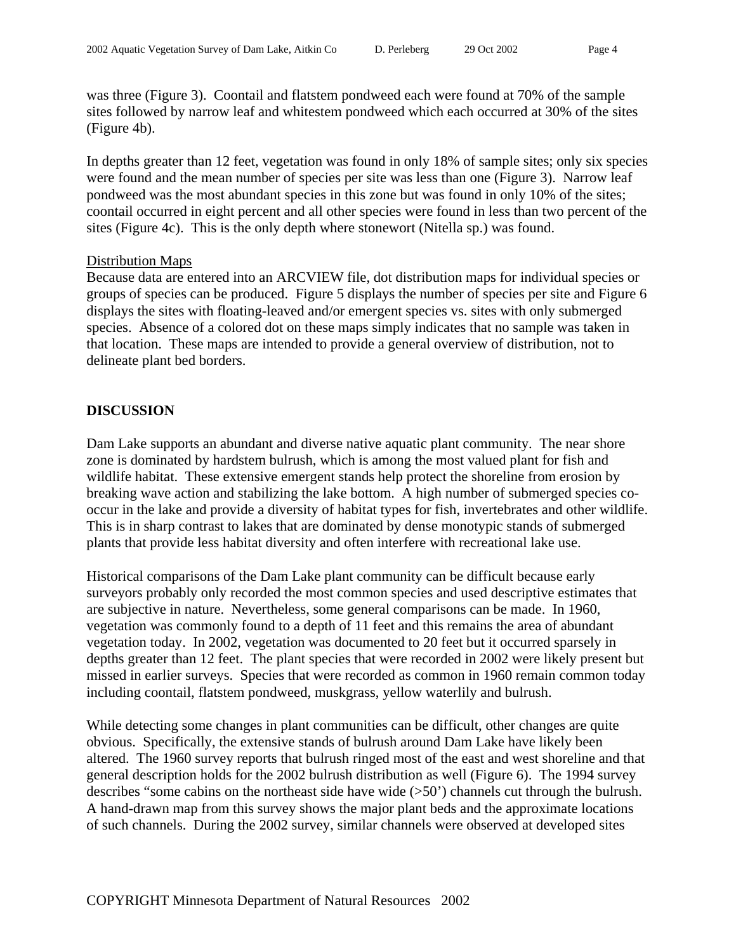was three (Figure 3). Coontail and flatstem pondweed each were found at 70% of the sample sites followed by narrow leaf and whitestem pondweed which each occurred at 30% of the sites (Figure 4b).

In depths greater than 12 feet, vegetation was found in only 18% of sample sites; only six species were found and the mean number of species per site was less than one (Figure 3). Narrow leaf pondweed was the most abundant species in this zone but was found in only 10% of the sites; coontail occurred in eight percent and all other species were found in less than two percent of the sites (Figure 4c). This is the only depth where stonewort (Nitella sp.) was found.

#### Distribution Maps

Because data are entered into an ARCVIEW file, dot distribution maps for individual species or groups of species can be produced. Figure 5 displays the number of species per site and Figure 6 displays the sites with floating-leaved and/or emergent species vs. sites with only submerged species. Absence of a colored dot on these maps simply indicates that no sample was taken in that location. These maps are intended to provide a general overview of distribution, not to delineate plant bed borders.

## **DISCUSSION**

Dam Lake supports an abundant and diverse native aquatic plant community. The near shore zone is dominated by hardstem bulrush, which is among the most valued plant for fish and wildlife habitat. These extensive emergent stands help protect the shoreline from erosion by breaking wave action and stabilizing the lake bottom. A high number of submerged species cooccur in the lake and provide a diversity of habitat types for fish, invertebrates and other wildlife. This is in sharp contrast to lakes that are dominated by dense monotypic stands of submerged plants that provide less habitat diversity and often interfere with recreational lake use.

Historical comparisons of the Dam Lake plant community can be difficult because early surveyors probably only recorded the most common species and used descriptive estimates that are subjective in nature. Nevertheless, some general comparisons can be made. In 1960, vegetation was commonly found to a depth of 11 feet and this remains the area of abundant vegetation today. In 2002, vegetation was documented to 20 feet but it occurred sparsely in depths greater than 12 feet. The plant species that were recorded in 2002 were likely present but missed in earlier surveys. Species that were recorded as common in 1960 remain common today including coontail, flatstem pondweed, muskgrass, yellow waterlily and bulrush.

While detecting some changes in plant communities can be difficult, other changes are quite obvious. Specifically, the extensive stands of bulrush around Dam Lake have likely been altered. The 1960 survey reports that bulrush ringed most of the east and west shoreline and that general description holds for the 2002 bulrush distribution as well (Figure 6). The 1994 survey describes "some cabins on the northeast side have wide (>50') channels cut through the bulrush. A hand-drawn map from this survey shows the major plant beds and the approximate locations of such channels. During the 2002 survey, similar channels were observed at developed sites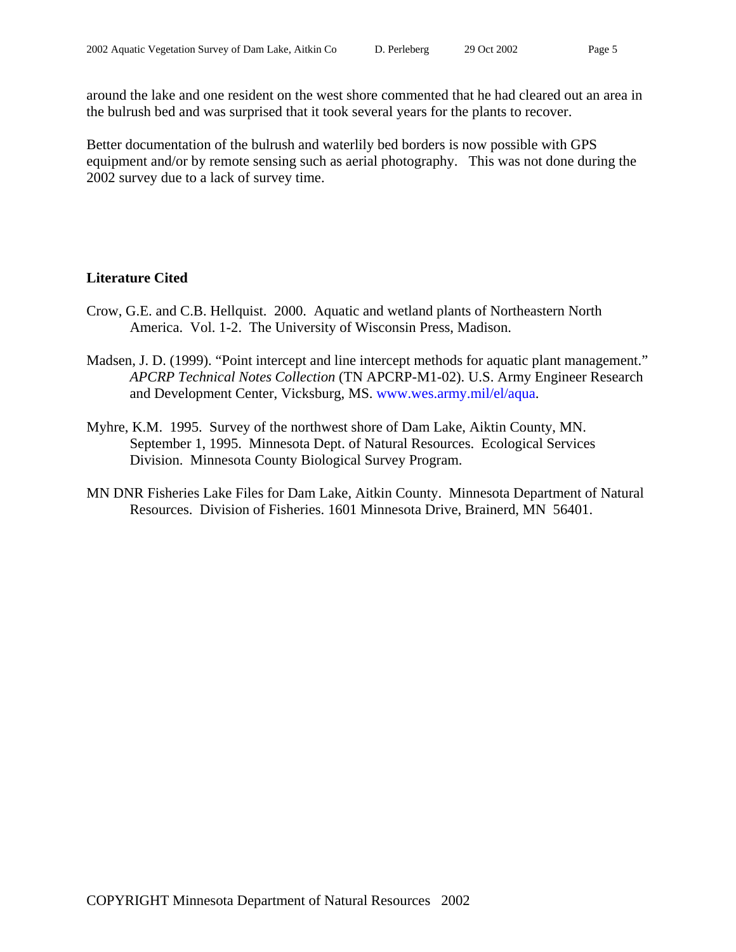around the lake and one resident on the west shore commented that he had cleared out an area in the bulrush bed and was surprised that it took several years for the plants to recover.

Better documentation of the bulrush and waterlily bed borders is now possible with GPS equipment and/or by remote sensing such as aerial photography. This was not done during the 2002 survey due to a lack of survey time.

# **Literature Cited**

- Crow, G.E. and C.B. Hellquist. 2000. Aquatic and wetland plants of Northeastern North America. Vol. 1-2. The University of Wisconsin Press, Madison.
- Madsen, J. D. (1999). "Point intercept and line intercept methods for aquatic plant management." *APCRP Technical Notes Collection* (TN APCRP-M1-02). U.S. Army Engineer Research and Development Center, Vicksburg, MS. www.wes.army.mil/el/aqua.
- Myhre, K.M. 1995. Survey of the northwest shore of Dam Lake, Aiktin County, MN. September 1, 1995. Minnesota Dept. of Natural Resources. Ecological Services Division. Minnesota County Biological Survey Program.
- MN DNR Fisheries Lake Files for Dam Lake, Aitkin County. Minnesota Department of Natural Resources. Division of Fisheries. 1601 Minnesota Drive, Brainerd, MN 56401.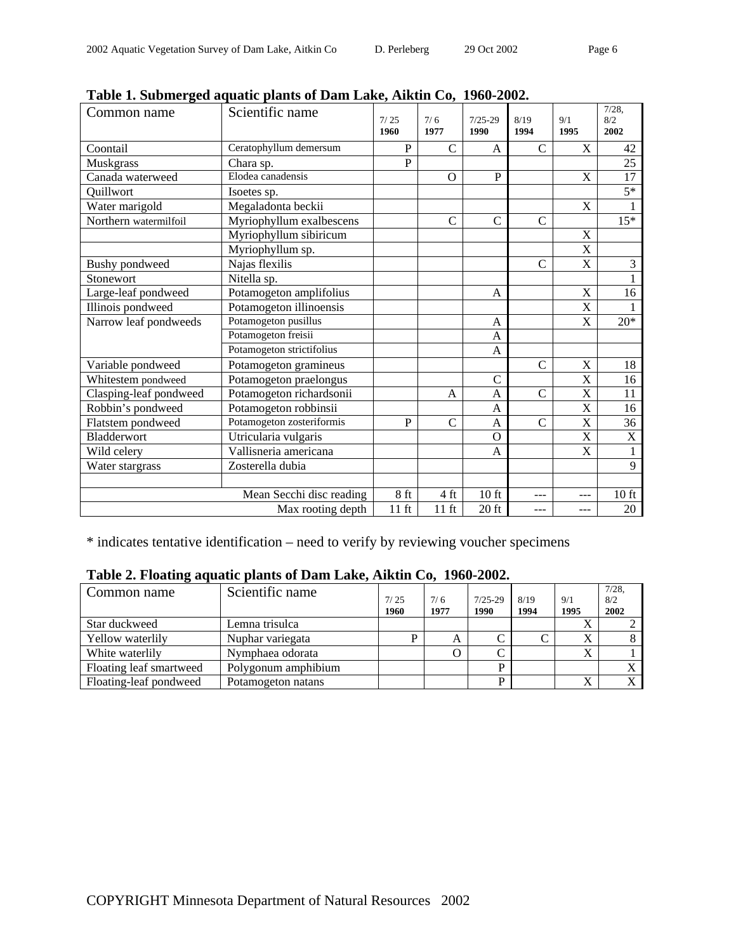| Common name            | <b>Fabic 1. Subfiler geu aquatic plants of Daill Lake, AIKUII C0, 1700-2002.</b><br>Scientific name | 7/25<br>1960    | 7/6<br>1977    | $7/25-29$<br>1990 | 8/19<br>1994   | 9/1<br>1995               | 7/28.<br>8/2<br>2002 |
|------------------------|-----------------------------------------------------------------------------------------------------|-----------------|----------------|-------------------|----------------|---------------------------|----------------------|
| Coontail               | Ceratophyllum demersum                                                                              | P               | $\mathsf{C}$   | A                 | C              | X                         | 42                   |
| <b>Muskgrass</b>       | Chara sp.                                                                                           | P               |                |                   |                |                           | 25                   |
| Canada waterweed       | Elodea canadensis                                                                                   |                 | $\mathbf{O}$   | $\mathbf{P}$      |                | $\boldsymbol{\mathrm{X}}$ | $\overline{17}$      |
| Ouillwort              | Isoetes sp.                                                                                         |                 |                |                   |                |                           | $5*$                 |
| Water marigold         | Megaladonta beckii                                                                                  |                 |                |                   |                | X                         |                      |
| Northern watermilfoil  | Myriophyllum exalbescens                                                                            |                 | $\overline{C}$ | $\overline{C}$    | $\overline{C}$ |                           | $15*$                |
|                        | Myriophyllum sibiricum                                                                              |                 |                |                   |                | X                         |                      |
|                        | Myriophyllum sp.                                                                                    |                 |                |                   |                | X                         |                      |
| <b>Bushy</b> pondweed  | Najas flexilis                                                                                      |                 |                |                   | C              | X                         | 3                    |
| Stonewort              | Nitella sp.                                                                                         |                 |                |                   |                |                           |                      |
| Large-leaf pondweed    | Potamogeton amplifolius                                                                             |                 |                | A                 |                | X                         | 16                   |
| Illinois pondweed      | Potamogeton illinoensis                                                                             |                 |                |                   |                | X                         |                      |
| Narrow leaf pondweeds  | Potamogeton pusillus                                                                                |                 |                | A                 |                | X                         | $20*$                |
|                        | Potamogeton freisii                                                                                 |                 |                | A                 |                |                           |                      |
|                        | Potamogeton strictifolius                                                                           |                 |                | A                 |                |                           |                      |
| Variable pondweed      | Potamogeton gramineus                                                                               |                 |                |                   | $\overline{C}$ | X                         | 18                   |
| Whitestem pondweed     | Potamogeton praelongus                                                                              |                 |                | $\overline{C}$    |                | X                         | 16                   |
| Clasping-leaf pondweed | Potamogeton richardsonii                                                                            |                 | A              | $\mathbf{A}$      | $\overline{C}$ | X                         | 11                   |
| Robbin's pondweed      | Potamogeton robbinsii                                                                               |                 |                | $\mathbf{A}$      |                | X                         | 16                   |
| Flatstem pondweed      | Potamogeton zosteriformis                                                                           | $\mathbf{P}$    | $\mathcal{C}$  | A                 | $\mathcal{C}$  | X                         | 36                   |
| Bladderwort            | Utricularia vulgaris                                                                                |                 |                | $\mathbf{O}$      |                | X                         | X                    |
| Wild celery            | Vallisneria americana                                                                               |                 |                | A                 |                | $\mathbf X$               | $\mathbf{1}$         |
| Water stargrass        | Zosterella dubia                                                                                    |                 |                |                   |                |                           | 9                    |
|                        |                                                                                                     |                 |                |                   |                |                           |                      |
|                        | Mean Secchi disc reading                                                                            | 8 <sub>ft</sub> | 4 ft           | $10$ ft           |                | ---                       | $10$ ft              |
| Max rooting depth      |                                                                                                     |                 | $11$ ft        | $20$ ft           | ---            | ---                       | 20                   |

|  |  |  | Table 1. Submerged aquatic plants of Dam Lake, Aiktin Co, 1960-2002. |  |  |  |
|--|--|--|----------------------------------------------------------------------|--|--|--|
|--|--|--|----------------------------------------------------------------------|--|--|--|

\* indicates tentative identification – need to verify by reviewing voucher specimens

| Table 2. Floating aquatic plants of Dam Lake, Aiktin Co, 1960-2002. |  |  |  |
|---------------------------------------------------------------------|--|--|--|
|---------------------------------------------------------------------|--|--|--|

| Common name             | Scientific name     | 7/25<br>1960 | 7/6<br>1977 | $7/25 - 29$<br>1990 | 8/19<br>1994 | 9/1<br>1995 | $7/28$ ,<br>8/2<br>2002 |
|-------------------------|---------------------|--------------|-------------|---------------------|--------------|-------------|-------------------------|
| Star duckweed           | Lemna trisulca      |              |             |                     |              |             |                         |
| Yellow waterlily        | Nuphar variegata    |              | А           |                     |              | v           |                         |
| White waterlily         | Nymphaea odorata    |              |             |                     |              | $\Lambda$   |                         |
| Floating leaf smartweed | Polygonum amphibium |              |             |                     |              |             |                         |
| Floating-leaf pondweed  | Potamogeton natans  |              |             | D                   |              | л           |                         |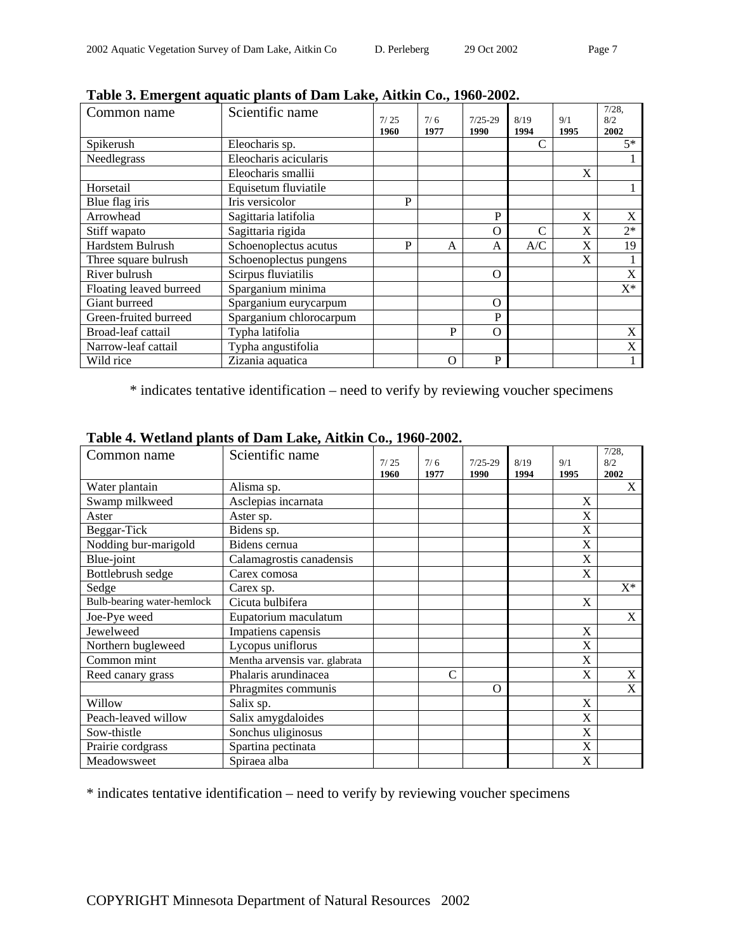| Common name             | Scientific name         | 7/25<br>1960 | 7/6<br>1977 | $7/25 - 29$<br>1990 | 8/19<br>1994 | 9/1<br>1995 | $7/28$ ,<br>8/2<br>2002 |
|-------------------------|-------------------------|--------------|-------------|---------------------|--------------|-------------|-------------------------|
| Spikerush               | Eleocharis sp.          |              |             |                     |              |             | $5*$                    |
| Needlegrass             | Eleocharis acicularis   |              |             |                     |              |             |                         |
|                         | Eleocharis smallii      |              |             |                     |              | X           |                         |
| Horsetail               | Equisetum fluviatile    |              |             |                     |              |             |                         |
| Blue flag iris          | Iris versicolor         | P            |             |                     |              |             |                         |
| Arrowhead               | Sagittaria latifolia    |              |             | P                   |              | X           | X                       |
| Stiff wapato            | Sagittaria rigida       |              |             | $\Omega$            |              | X           | $2*$                    |
| Hardstem Bulrush        | Schoenoplectus acutus   | P            | A           | A                   | A/C          | X           | 19                      |
| Three square bulrush    | Schoenoplectus pungens  |              |             |                     |              | X           |                         |
| River bulrush           | Scirpus fluviatilis     |              |             | $\Omega$            |              |             | X                       |
| Floating leaved burreed | Sparganium minima       |              |             |                     |              |             | $X^*$                   |
| Giant burreed           | Sparganium eurycarpum   |              |             | $\Omega$            |              |             |                         |
| Green-fruited burreed   | Sparganium chlorocarpum |              |             | P                   |              |             |                         |
| Broad-leaf cattail      | Typha latifolia         |              | P           | $\Omega$            |              |             | X                       |
| Narrow-leaf cattail     | Typha angustifolia      |              |             |                     |              |             | X                       |
| Wild rice               | Zizania aquatica        |              | $\Omega$    | P                   |              |             |                         |

**Table 3. Emergent aquatic plants of Dam Lake, Aitkin Co., 1960-2002.** 

\* indicates tentative identification – need to verify by reviewing voucher specimens

| Common name                | Scientific name               | 7/25<br>1960 | 7/6<br>1977   | $7/25 - 29$<br>1990 | 8/19<br>1994 | 9/1<br>1995           | $7/28$ ,<br>8/2<br>2002 |
|----------------------------|-------------------------------|--------------|---------------|---------------------|--------------|-----------------------|-------------------------|
| Water plantain             | Alisma sp.                    |              |               |                     |              |                       | X                       |
| Swamp milkweed             | Asclepias incarnata           |              |               |                     |              | X                     |                         |
| Aster                      | Aster sp.                     |              |               |                     |              | X                     |                         |
| Beggar-Tick                | Bidens sp.                    |              |               |                     |              | X                     |                         |
| Nodding bur-marigold       | Bidens cernua                 |              |               |                     |              | X                     |                         |
| Blue-joint                 | Calamagrostis canadensis      |              |               |                     |              | $\overline{\text{X}}$ |                         |
| Bottlebrush sedge          | Carex comosa                  |              |               |                     |              | X                     |                         |
| Sedge                      | Carex sp.                     |              |               |                     |              |                       | $X^*$                   |
| Bulb-bearing water-hemlock | Cicuta bulbifera              |              |               |                     |              | X                     |                         |
| Joe-Pye weed               | Eupatorium maculatum          |              |               |                     |              |                       | X                       |
| Jewelweed                  | Impatiens capensis            |              |               |                     |              | X                     |                         |
| Northern bugleweed         | Lycopus uniflorus             |              |               |                     |              | X                     |                         |
| Common mint                | Mentha arvensis var. glabrata |              |               |                     |              | X                     |                         |
| Reed canary grass          | Phalaris arundinacea          |              | $\mathcal{C}$ |                     |              | X                     | $\mathbf X$             |
|                            | Phragmites communis           |              |               | $\Omega$            |              |                       | X                       |
| Willow                     | Salix sp.                     |              |               |                     |              | X                     |                         |
| Peach-leaved willow        | Salix amygdaloides            |              |               |                     |              | X                     |                         |
| Sow-thistle                | Sonchus uliginosus            |              |               |                     |              | X                     |                         |
| Prairie cordgrass          | Spartina pectinata            |              |               |                     |              | X                     |                         |
| Meadowsweet                | Spiraea alba                  |              |               |                     |              | X                     |                         |

|  |  |  |  |  |  |  | Table 4. Wetland plants of Dam Lake, Aitkin Co., 1960-2002. |
|--|--|--|--|--|--|--|-------------------------------------------------------------|
|--|--|--|--|--|--|--|-------------------------------------------------------------|

\* indicates tentative identification – need to verify by reviewing voucher specimens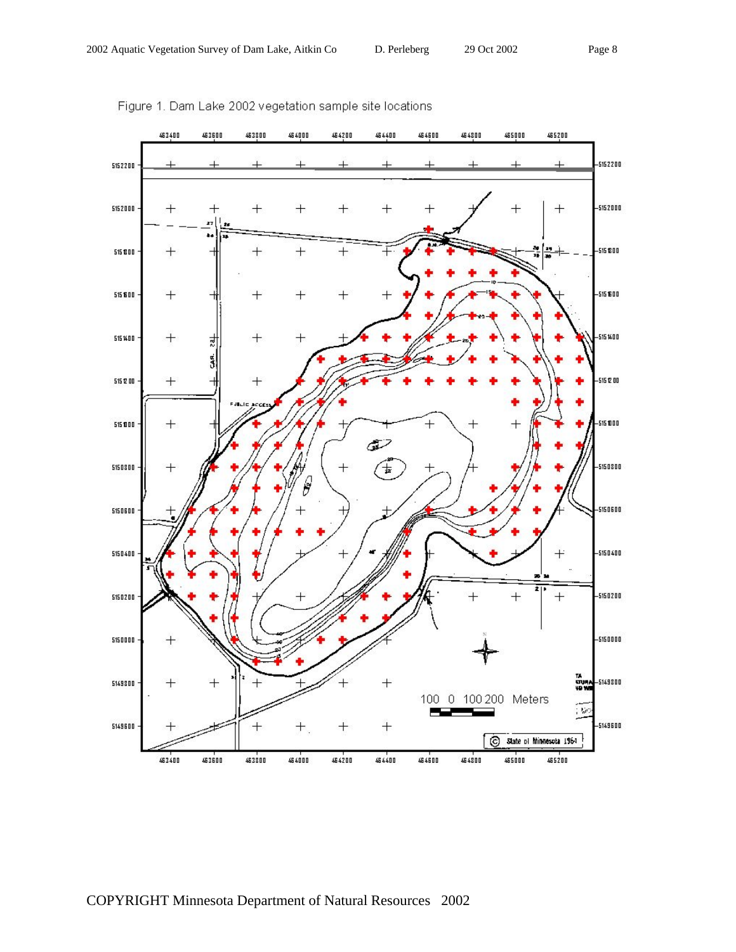

Figure 1. Dam Lake 2002 vegetation sample site locations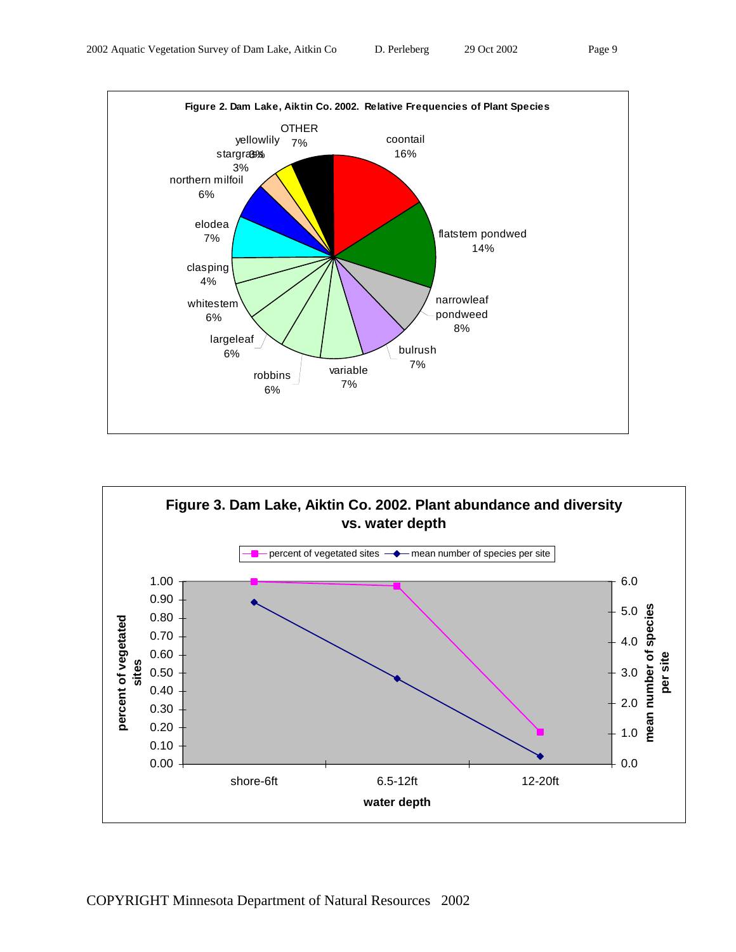



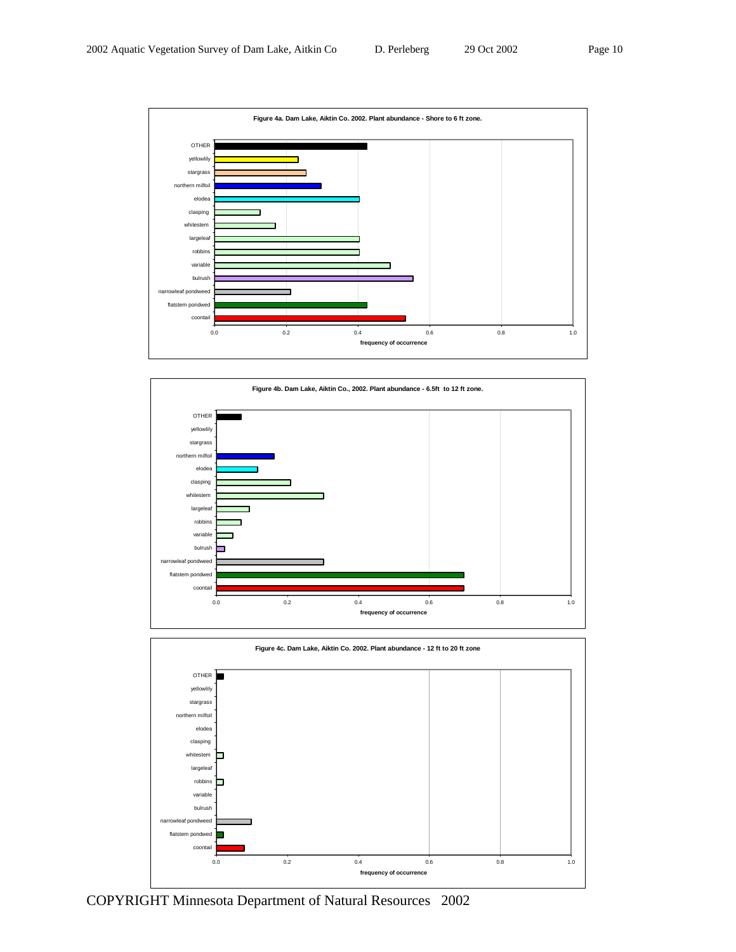





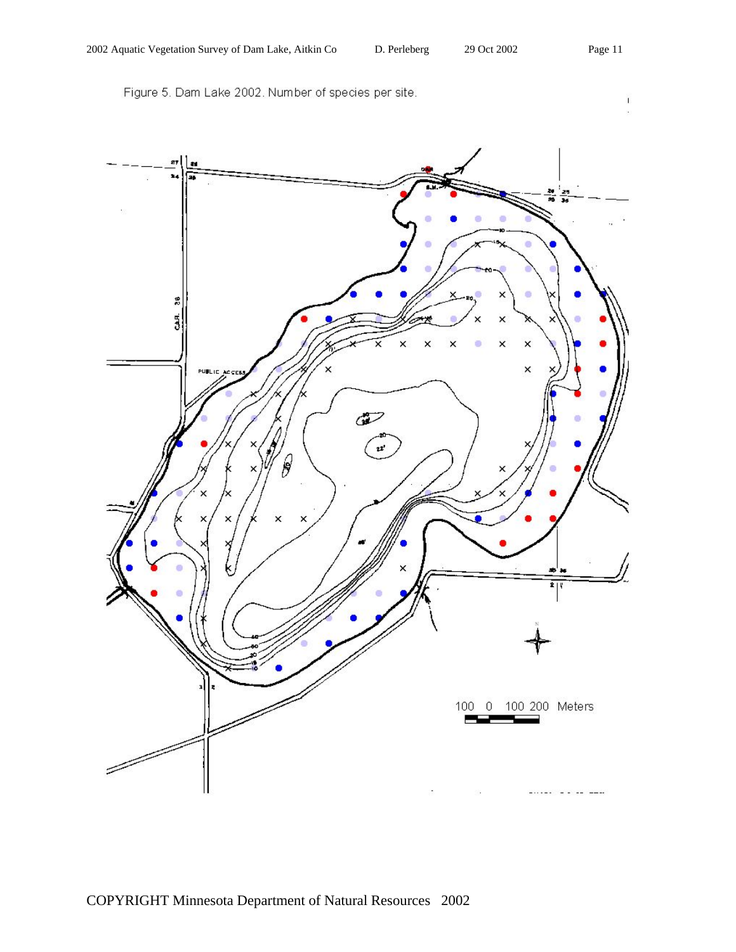Figure 5. Dam Lake 2002. Number of species per site.